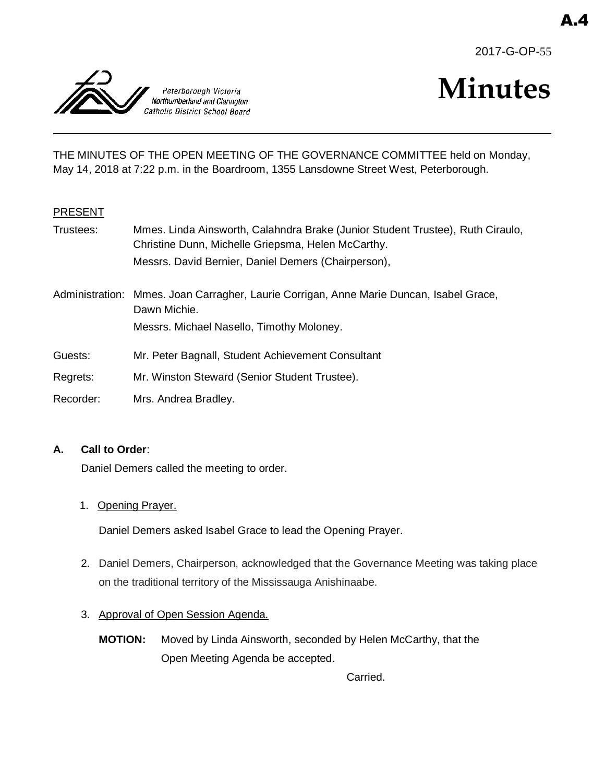



# **Minutes**

THE MINUTES OF THE OPEN MEETING OF THE GOVERNANCE COMMITTEE held on Monday, May 14, 2018 at 7:22 p.m. in the Boardroom, 1355 Lansdowne Street West, Peterborough.

#### PRESENT

| Trustees:       | Mmes. Linda Ainsworth, Calahndra Brake (Junior Student Trustee), Ruth Ciraulo,<br>Christine Dunn, Michelle Griepsma, Helen McCarthy. |
|-----------------|--------------------------------------------------------------------------------------------------------------------------------------|
|                 | Messrs. David Bernier, Daniel Demers (Chairperson),                                                                                  |
| Administration: | Mmes. Joan Carragher, Laurie Corrigan, Anne Marie Duncan, Isabel Grace,<br>Dawn Michie.                                              |
|                 | Messrs. Michael Nasello, Timothy Moloney.                                                                                            |
| Guests:         | Mr. Peter Bagnall, Student Achievement Consultant                                                                                    |
| Regrets:        | Mr. Winston Steward (Senior Student Trustee).                                                                                        |
| Recorder:       | Mrs. Andrea Bradley.                                                                                                                 |

#### **A. Call to Order**:

Daniel Demers called the meeting to order.

1. Opening Prayer.

Daniel Demers asked Isabel Grace to lead the Opening Prayer.

- 2. Daniel Demers, Chairperson, acknowledged that the Governance Meeting was taking place on the traditional territory of the Mississauga Anishinaabe.
- 3. Approval of Open Session Agenda.
	- **MOTION:** Moved by Linda Ainsworth, seconded by Helen McCarthy, that the Open Meeting Agenda be accepted.

Carried.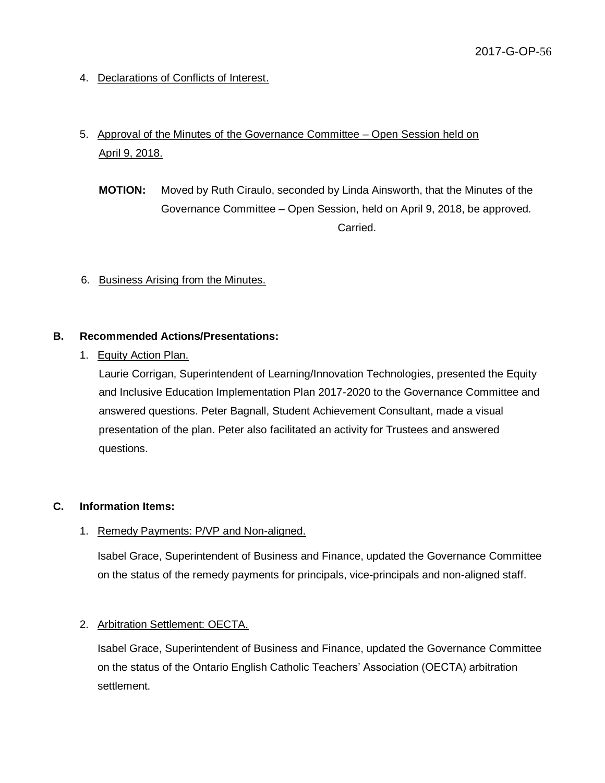4. Declarations of Conflicts of Interest.

## 5. Approval of the Minutes of the Governance Committee – Open Session held on April 9, 2018.

**MOTION:** Moved by Ruth Ciraulo, seconded by Linda Ainsworth, that the Minutes of the Governance Committee – Open Session, held on April 9, 2018, be approved. Carried.

#### 6. Business Arising from the Minutes.

#### **B. Recommended Actions/Presentations:**

#### 1. Equity Action Plan.

Laurie Corrigan, Superintendent of Learning/Innovation Technologies, presented the Equity and Inclusive Education Implementation Plan 2017-2020 to the Governance Committee and answered questions. Peter Bagnall, Student Achievement Consultant, made a visual presentation of the plan. Peter also facilitated an activity for Trustees and answered questions.

#### **C. Information Items:**

#### 1. Remedy Payments: P/VP and Non-aligned.

Isabel Grace, Superintendent of Business and Finance, updated the Governance Committee on the status of the remedy payments for principals, vice-principals and non-aligned staff.

#### 2. Arbitration Settlement: OECTA.

Isabel Grace, Superintendent of Business and Finance, updated the Governance Committee on the status of the Ontario English Catholic Teachers' Association (OECTA) arbitration settlement.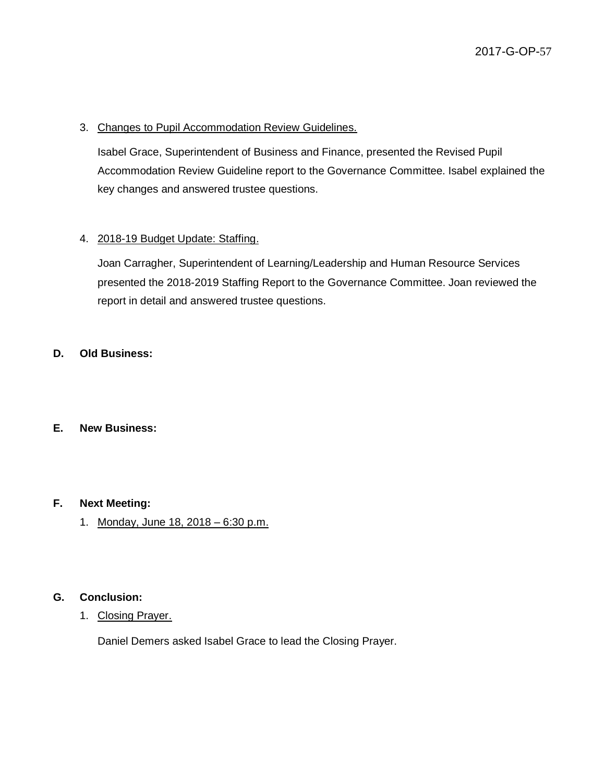#### 3. Changes to Pupil Accommodation Review Guidelines.

Isabel Grace, Superintendent of Business and Finance, presented the Revised Pupil Accommodation Review Guideline report to the Governance Committee. Isabel explained the key changes and answered trustee questions.

#### 4. 2018-19 Budget Update: Staffing.

Joan Carragher, Superintendent of Learning/Leadership and Human Resource Services presented the 2018-2019 Staffing Report to the Governance Committee. Joan reviewed the report in detail and answered trustee questions.

#### **D. Old Business:**

#### **E. New Business:**

#### **F. Next Meeting:**

1. Monday, June 18, 2018 – 6:30 p.m.

#### **G. Conclusion:**

1. Closing Prayer.

Daniel Demers asked Isabel Grace to lead the Closing Prayer.